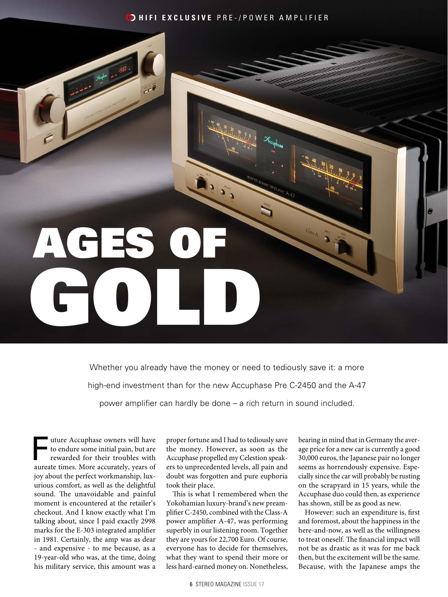# AGES OF GOLD

Whether you already have the money or need to tediously save it: a more high-end investment than for the new Accuphase Pre C-2450 and the A-47 power amplifier can hardly be done – a rich return in sound included.

The uture Accuphase owners will have<br>to endure some initial pain, but are<br>rewarded for their troubles with<br>aureote times. More accurately, years of to endure some initial pain, but are rewarded for their troubles with aureate times. More accurately, years of joy about the perfect workmanship, luxurious comfort, as well as the delightful sound. The unavoidable and painful moment is encountered at the retailer's checkout. And I know exactly what I'm talking about, since I paid exactly 2998 marks for the E-303 integrated amplifier in 1981. Certainly, the amp was as dear - and expensive - to me because, as a 19-year-old who was, at the time, doing his military service, this amount was a

proper fortune and I had to tediously save the money. However, as soon as the Accuphase propelled my Celestion speakers to unprecedented levels, all pain and doubt was forgotten and pure euphoria took their place.

This is what I remembered when the Yokohamian luxury-brand's new preamplifier C-2450, combined with the Class-A power amplifier A-47, was performing superbly in our listening room. Together they are yours for 22,700 Euro. Of course, everyone has to decide for themselves, what they want to spend their more or less hard-earned money on. Nonetheless,

bearing in mind that in Germany the average price for a new car is currently a good 30,000 euros, the Japanese pair no longer seems as horrendously expensive. Especially since the car will probably be rusting on the scrapyard in 15 years, while the Accuphase duo could then, as experience has shown, still be as good as new.

However: such an expenditure is, first and foremost, about the happiness in the here-and-now, as well as the willingness to treat oneself. The financial impact will not be as drastic as it was for me back then, but the excitement will be the same. Because, with the Japanese amps the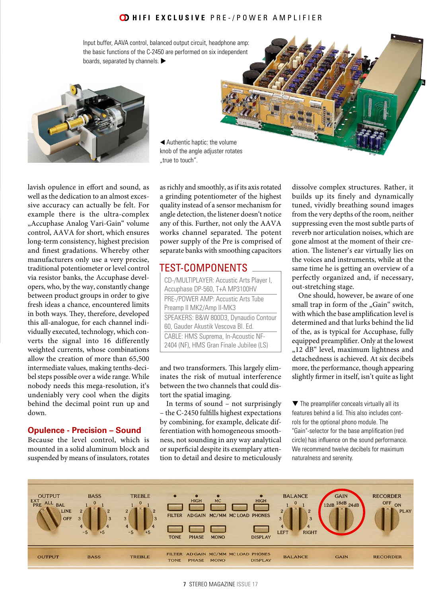## **CD HIFI EXCLUSIVE** PRE-/POWER AMPLIFIER

Input buffer, AAVA control, balanced output circuit, headphone amp: the basic functions of the C-2450 are performed on six independent boards, separated by channels.



 Authentic haptic: the volume knob of the angle adjuster rotates true to touch"

lavish opulence in effort and sound, as well as the dedication to an almost excessive accuracy can actually be felt. For example there is the ultra-complex "Accuphase Analog Vari-Gain" volume control, AAVA for short, which ensures long-term consistency, highest precision and finest gradations. Whereby other manufacturers only use a very precise, traditional potentiometer or level control via resistor banks, the Accuphase developers, who, by the way, constantly change between product groups in order to give fresh ideas a chance, encountered limits in both ways. They, therefore, developed this all-analogue, for each channel individually executed, technology, which converts the signal into 16 differently weighted currents, whose combinations allow the creation of more than 65,500 intermediate values, making tenths-decibel steps possible over a wide range. While nobody needs this mega-resolution, it's undeniably very cool when the digits behind the decimal point run up and down.

# **Opulence - Precision – Sound**

Because the level control, which is mounted in a solid aluminum block and suspended by means of insulators, rotates

as richly and smoothly, as if its axis rotated a grinding potentiometer of the highest quality instead of a sensor mechanism for angle detection, the listener doesn't notice any of this. Further, not only the AAVA works channel separated. The potent power supply of the Pre is comprised of separate banks with smoothing capacitors

# TEST-COMPONENTS

| CD-/MULTIPLAYER: Accustic Arts Player I,                                       |
|--------------------------------------------------------------------------------|
| Accuphase DP-560, T+A MP3100HV                                                 |
| PRE-/POWER AMP: Accustic Arts Tube                                             |
| Preamp II MK2/Amp II-MK3                                                       |
| SPEAKERS: B&W 800D3, Dynaudio Contour                                          |
| 60, Gauder Akustik Vescova Bl. Ed.                                             |
| CABLE: HMS Suprema, In-Acoustic NF-<br>2404 (NF), HMS Gran Finale Jubilee (LS) |

and two transformers. This largely eliminates the risk of mutual interference between the two channels that could distort the spatial imaging.

In terms of sound – not surprisingly – the C-2450 fulfills highest expectations by combining, for example, delicate differentiation with homogeneous smoothness, not sounding in any way analytical or superficial despite its exemplary attention to detail and desire to meticulously

dissolve complex structures. Rather, it builds up its finely and dynamically tuned, vividly breathing sound images from the very depths of the room, neither suppressing even the most subtle parts of reverb nor articulation noises, which are gone almost at the moment of their creation. The listener's ear virtually lies on the voices and instruments, while at the same time he is getting an overview of a perfectly organized and, if necessary, out-stretching stage.

One should, however, be aware of one small trap in form of the "Gain" switch, with which the base amplification level is determined and that lurks behind the lid of the, as is typical for Accuphase, fully equipped preamplifier. Only at the lowest "12 dB" level, maximum lightness and detachedness is achieved. At six decibels more, the performance, though appearing slightly firmer in itself, isn't quite as light

 $\blacktriangledown$  The preamplifier conceals virtually all its features behind a lid. This also includes controls for the optional phono module. The "Gain"-selector for the base amplification (red circle) has influence on the sound performance. We recommend twelve decibels for maximum naturalness and serenity.

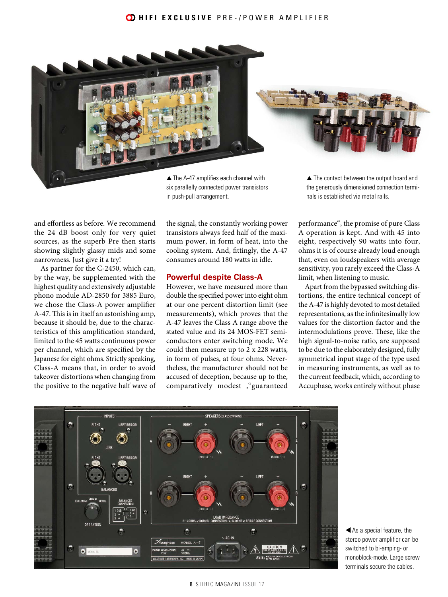### **CD HIFI EXCLUSIVE** PRE-/POWER AMPLIFIER



▲ The A-47 amplifies each channel with six parallelly connected power transistors in push-pull arrangement.

 $\triangle$  The contact between the output board and the generously dimensioned connection terminals is established via metal rails.

and effortless as before. We recommend the 24 dB boost only for very quiet sources, as the superb Pre then starts showing slightly glassy mids and some narrowness. Just give it a try!

As partner for the C-2450, which can, by the way, be supplemented with the highest quality and extensively adjustable phono module AD-2850 for 3885 Euro, we chose the Class-A power amplifier A-47. This is in itself an astonishing amp, because it should be, due to the characteristics of this amplification standard, limited to the 45 watts continuous power per channel, which are specified by the Japanese for eight ohms. Strictly speaking, Class-A means that, in order to avoid takeover distortions when changing from the positive to the negative half wave of the signal, the constantly working power transistors always feed half of the maximum power, in form of heat, into the cooling system. And, fittingly, the A-47 consumes around 180 watts in idle.

### **Powerful despite Class-A**

However, we have measured more than double the specified power into eight ohm at our one percent distortion limit (see measurements), which proves that the A-47 leaves the Class A range above the stated value and its 24 MOS-FET semiconductors enter switching mode. We could then measure up to 2 x 228 watts, in form of pulses, at four ohms. Nevertheless, the manufacturer should not be accused of deception, because up to the, comparatively modest ,"guaranteed performance", the promise of pure Class A operation is kept. And with 45 into eight, respectively 90 watts into four, ohms it is of course already loud enough that, even on loudspeakers with average sensitivity, you rarely exceed the Class-A limit, when listening to music.

Apart from the bypassed switching distortions, the entire technical concept of the A-47 is highly devoted to most detailed representations, as the infinitesimally low values for the distortion factor and the intermodulations prove. These, like the high signal-to-noise ratio, are supposed to be due to the elaborately designed, fully symmetrical input stage of the type used in measuring instruments, as well as to the current feedback, which, according to Accuphase, works entirely without phase



 $\blacktriangleleft$  As a special feature, the stereo power amplifier can be switched to bi-amping- or monoblock-mode. Large screw terminals secure the cables.